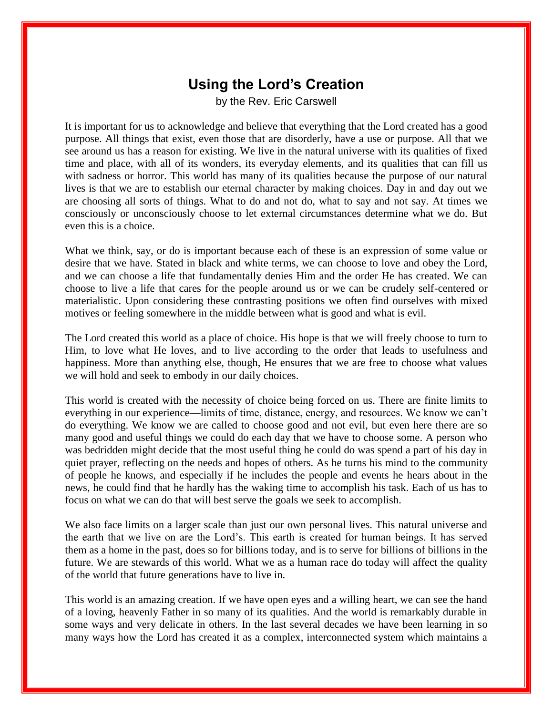## **Using the Lord's Creation**

by the Rev. Eric Carswell

It is important for us to acknowledge and believe that everything that the Lord created has a good purpose. All things that exist, even those that are disorderly, have a use or purpose. All that we see around us has a reason for existing. We live in the natural universe with its qualities of fixed time and place, with all of its wonders, its everyday elements, and its qualities that can fill us with sadness or horror. This world has many of its qualities because the purpose of our natural lives is that we are to establish our eternal character by making choices. Day in and day out we are choosing all sorts of things. What to do and not do, what to say and not say. At times we consciously or unconsciously choose to let external circumstances determine what we do. But even this is a choice.

What we think, say, or do is important because each of these is an expression of some value or desire that we have. Stated in black and white terms, we can choose to love and obey the Lord, and we can choose a life that fundamentally denies Him and the order He has created. We can choose to live a life that cares for the people around us or we can be crudely self-centered or materialistic. Upon considering these contrasting positions we often find ourselves with mixed motives or feeling somewhere in the middle between what is good and what is evil.

The Lord created this world as a place of choice. His hope is that we will freely choose to turn to Him, to love what He loves, and to live according to the order that leads to usefulness and happiness. More than anything else, though, He ensures that we are free to choose what values we will hold and seek to embody in our daily choices.

This world is created with the necessity of choice being forced on us. There are finite limits to everything in our experience—limits of time, distance, energy, and resources. We know we can't do everything. We know we are called to choose good and not evil, but even here there are so many good and useful things we could do each day that we have to choose some. A person who was bedridden might decide that the most useful thing he could do was spend a part of his day in quiet prayer, reflecting on the needs and hopes of others. As he turns his mind to the community of people he knows, and especially if he includes the people and events he hears about in the news, he could find that he hardly has the waking time to accomplish his task. Each of us has to focus on what we can do that will best serve the goals we seek to accomplish.

We also face limits on a larger scale than just our own personal lives. This natural universe and the earth that we live on are the Lord's. This earth is created for human beings. It has served them as a home in the past, does so for billions today, and is to serve for billions of billions in the future. We are stewards of this world. What we as a human race do today will affect the quality of the world that future generations have to live in.

This world is an amazing creation. If we have open eyes and a willing heart, we can see the hand of a loving, heavenly Father in so many of its qualities. And the world is remarkably durable in some ways and very delicate in others. In the last several decades we have been learning in so many ways how the Lord has created it as a complex, interconnected system which maintains a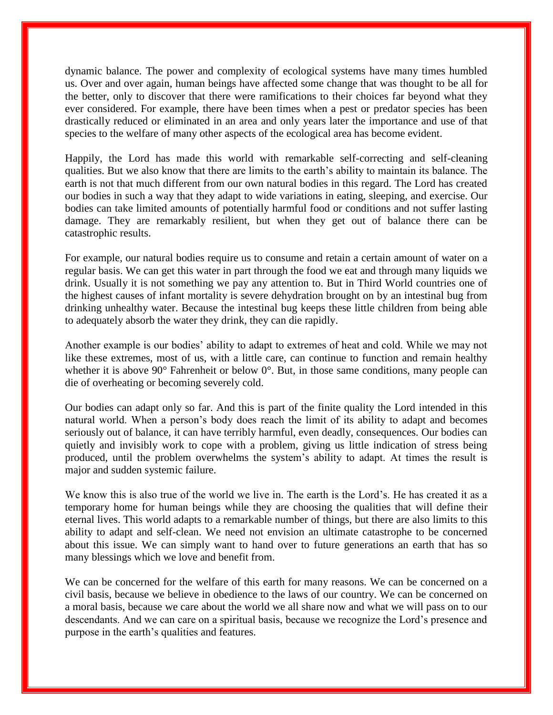dynamic balance. The power and complexity of ecological systems have many times humbled us. Over and over again, human beings have affected some change that was thought to be all for the better, only to discover that there were ramifications to their choices far beyond what they ever considered. For example, there have been times when a pest or predator species has been drastically reduced or eliminated in an area and only years later the importance and use of that species to the welfare of many other aspects of the ecological area has become evident.

Happily, the Lord has made this world with remarkable self-correcting and self-cleaning qualities. But we also know that there are limits to the earth's ability to maintain its balance. The earth is not that much different from our own natural bodies in this regard. The Lord has created our bodies in such a way that they adapt to wide variations in eating, sleeping, and exercise. Our bodies can take limited amounts of potentially harmful food or conditions and not suffer lasting damage. They are remarkably resilient, but when they get out of balance there can be catastrophic results.

For example, our natural bodies require us to consume and retain a certain amount of water on a regular basis. We can get this water in part through the food we eat and through many liquids we drink. Usually it is not something we pay any attention to. But in Third World countries one of the highest causes of infant mortality is severe dehydration brought on by an intestinal bug from drinking unhealthy water. Because the intestinal bug keeps these little children from being able to adequately absorb the water they drink, they can die rapidly.

Another example is our bodies' ability to adapt to extremes of heat and cold. While we may not like these extremes, most of us, with a little care, can continue to function and remain healthy whether it is above 90° Fahrenheit or below 0°. But, in those same conditions, many people can die of overheating or becoming severely cold.

Our bodies can adapt only so far. And this is part of the finite quality the Lord intended in this natural world. When a person's body does reach the limit of its ability to adapt and becomes seriously out of balance, it can have terribly harmful, even deadly, consequences. Our bodies can quietly and invisibly work to cope with a problem, giving us little indication of stress being produced, until the problem overwhelms the system's ability to adapt. At times the result is major and sudden systemic failure.

We know this is also true of the world we live in. The earth is the Lord's. He has created it as a temporary home for human beings while they are choosing the qualities that will define their eternal lives. This world adapts to a remarkable number of things, but there are also limits to this ability to adapt and self-clean. We need not envision an ultimate catastrophe to be concerned about this issue. We can simply want to hand over to future generations an earth that has so many blessings which we love and benefit from.

We can be concerned for the welfare of this earth for many reasons. We can be concerned on a civil basis, because we believe in obedience to the laws of our country. We can be concerned on a moral basis, because we care about the world we all share now and what we will pass on to our descendants. And we can care on a spiritual basis, because we recognize the Lord's presence and purpose in the earth's qualities and features.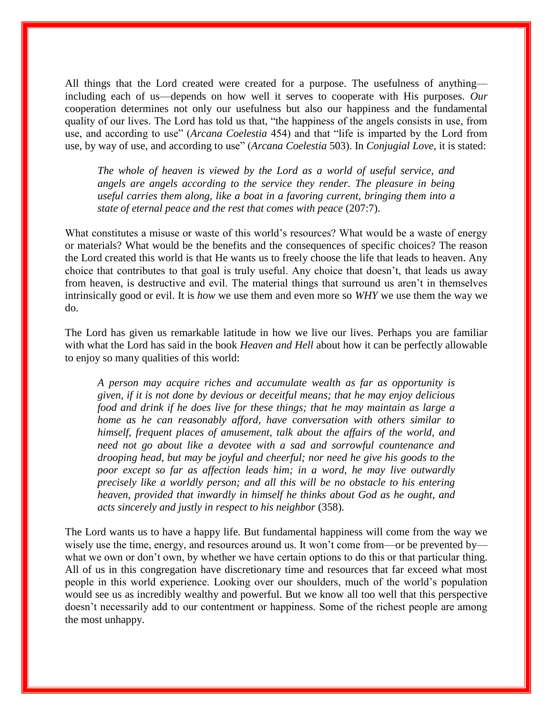All things that the Lord created were created for a purpose. The usefulness of anything including each of us—depends on how well it serves to cooperate with His purposes. *Our*  cooperation determines not only our usefulness but also our happiness and the fundamental quality of our lives. The Lord has told us that, "the happiness of the angels consists in use, from use, and according to use" (*Arcana Coelestia* 454) and that "life is imparted by the Lord from use, by way of use, and according to use" (*Arcana Coelestia* 503). In *Conjugial Love*, it is stated:

*The whole of heaven is viewed by the Lord as a world of useful service, and angels are angels according to the service they render. The pleasure in being useful carries them along, like a boat in a favoring current, bringing them into a state of eternal peace and the rest that comes with peace* (207:7).

What constitutes a misuse or waste of this world's resources? What would be a waste of energy or materials? What would be the benefits and the consequences of specific choices? The reason the Lord created this world is that He wants us to freely choose the life that leads to heaven. Any choice that contributes to that goal is truly useful. Any choice that doesn't, that leads us away from heaven, is destructive and evil. The material things that surround us aren't in themselves intrinsically good or evil. It is *how* we use them and even more so *WHY* we use them the way we do.

The Lord has given us remarkable latitude in how we live our lives. Perhaps you are familiar with what the Lord has said in the book *Heaven and Hell* about how it can be perfectly allowable to enjoy so many qualities of this world:

*A person may acquire riches and accumulate wealth as far as opportunity is given, if it is not done by devious or deceitful means; that he may enjoy delicious food and drink if he does live for these things; that he may maintain as large a home as he can reasonably afford, have conversation with others similar to himself, frequent places of amusement, talk about the affairs of the world, and need not go about like a devotee with a sad and sorrowful countenance and drooping head, but may be joyful and cheerful; nor need he give his goods to the poor except so far as affection leads him; in a word, he may live outwardly precisely like a worldly person; and all this will be no obstacle to his entering heaven, provided that inwardly in himself he thinks about God as he ought, and acts sincerely and justly in respect to his neighbor* (358).

The Lord wants us to have a happy life. But fundamental happiness will come from the way we wisely use the time, energy, and resources around us. It won't come from—or be prevented by what we own or don't own, by whether we have certain options to do this or that particular thing. All of us in this congregation have discretionary time and resources that far exceed what most people in this world experience. Looking over our shoulders, much of the world's population would see us as incredibly wealthy and powerful. But we know all too well that this perspective doesn't necessarily add to our contentment or happiness. Some of the richest people are among the most unhappy.